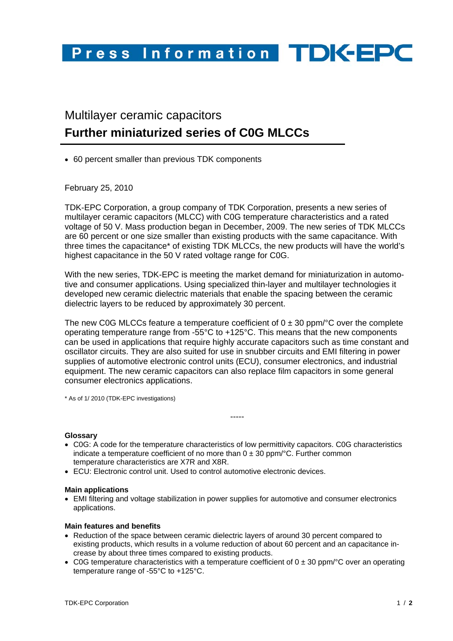## Press Information TDK-EPC

### Multilayer ceramic capacitors **Further miniaturized series of C0G MLCCs**

• 60 percent smaller than previous TDK components

February 25, 2010

TDK-EPC Corporation, a group company of TDK Corporation, presents a new series of multilayer ceramic capacitors (MLCC) with C0G temperature characteristics and a rated voltage of 50 V. Mass production began in December, 2009. The new series of TDK MLCCs are 60 percent or one size smaller than existing products with the same capacitance. With three times the capacitance\* of existing TDK MLCCs, the new products will have the world's highest capacitance in the 50 V rated voltage range for C0G.

With the new series. TDK-EPC is meeting the market demand for miniaturization in automotive and consumer applications. Using specialized thin-layer and multilayer technologies it developed new ceramic dielectric materials that enable the spacing between the ceramic dielectric layers to be reduced by approximately 30 percent.

The new C0G MLCCs feature a temperature coefficient of  $0 \pm 30$  ppm/ $\degree$ C over the complete operating temperature range from -55°C to +125°C. This means that the new components can be used in applications that require highly accurate capacitors such as time constant and oscillator circuits. They are also suited for use in snubber circuits and EMI filtering in power supplies of automotive electronic control units (ECU), consumer electronics, and industrial equipment. The new ceramic capacitors can also replace film capacitors in some general consumer electronics applications.

\* As of 1/ 2010 (TDK-EPC investigations)

### **Glossary**

• C0G: A code for the temperature characteristics of low permittivity capacitors. C0G characteristics indicate a temperature coefficient of no more than  $0 \pm 30$  ppm/°C. Further common temperature characteristics are X7R and X8R.

-----

• ECU: Electronic control unit. Used to control automotive electronic devices.

### **Main applications**

• EMI filtering and voltage stabilization in power supplies for automotive and consumer electronics applications.

### **Main features and benefits**

- Reduction of the space between ceramic dielectric layers of around 30 percent compared to existing products, which results in a volume reduction of about 60 percent and an capacitance increase by about three times compared to existing products.
- C0G temperature characteristics with a temperature coefficient of  $0 \pm 30$  ppm/ $\degree$ C over an operating temperature range of -55°C to +125°C.